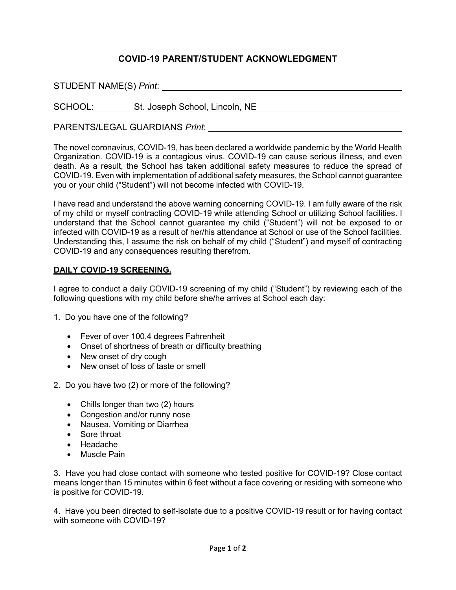## **COVID-19 PARENT/STUDENT ACKNOWLEDGMENT**

STUDENT NAME(S) *Print*:

SCHOOL: St. Joseph School, Lincoln, NE CHOOL: St. Joseph School, Lincoln, NE

PARENTS/LEGAL GUARDIANS *Print*:

The novel coronavirus, COVID-19, has been declared a worldwide pandemic by the World Health Organization. COVID-19 is a contagious virus. COVID-19 can cause serious illness, and even death. As a result, the School has taken additional safety measures to reduce the spread of COVID-19. Even with implementation of additional safety measures, the School cannot guarantee you or your child ("Student") will not become infected with COVID-19.

I have read and understand the above warning concerning COVID-19. I am fully aware of the risk of my child or myself contracting COVID-19 while attending School or utilizing School facilities. I understand that the School cannot guarantee my child ("Student") will not be exposed to or infected with COVID-19 as a result of her/his attendance at School or use of the School facilities. Understanding this, I assume the risk on behalf of my child ("Student") and myself of contracting COVID-19 and any consequences resulting therefrom.

## **DAILY COVID-19 SCREENING.**

I agree to conduct a daily COVID-19 screening of my child ("Student") by reviewing each of the following questions with my child before she/he arrives at School each day:

- 1. Do you have one of the following?
	- Fever of over 100.4 degrees Fahrenheit
	- Onset of shortness of breath or difficulty breathing
	- New onset of dry cough
	- New onset of loss of taste or smell
- 2. Do you have two (2) or more of the following?
	- Chills longer than two (2) hours
	- Congestion and/or runny nose
	- Nausea, Vomiting or Diarrhea
	- Sore throat
	- Headache
	- Muscle Pain

3. Have you had close contact with someone who tested positive for COVID-19? Close contact means longer than 15 minutes within 6 feet without a face covering or residing with someone who is positive for COVID-19.

4. Have you been directed to self-isolate due to a positive COVID-19 result or for having contact with someone with COVID-19?